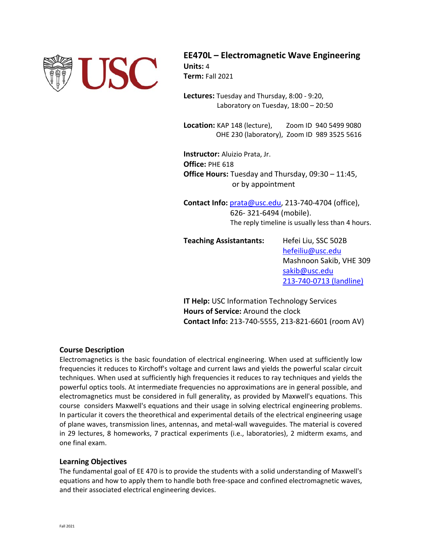

**EE470L – Electromagnetic Wave Engineering Units:** 4 **Term:** Fall 2021

**Lectures:** Tuesday and Thursday, 8:00 ‐ 9:20, Laboratory on Tuesday, 18:00 – 20:50

**Location:** KAP 148 (lecture), Zoom ID 940 5499 9080  OHE 230 (laboratory), Zoom ID 989 3525 5616

**Instructor:** Aluizio Prata, Jr. **Office:** PHE 618 **Office Hours:** Tuesday and Thursday, 09:30 – 11:45, or by appointment

**Contact Info:** prata@usc.edu, 213‐740‐4704 (office), 626‐ 321‐6494 (mobile). The reply timeline is usually less than 4 hours.

**Teaching Assistantants:**  Hefei Liu, SSC 502B

hefeiliu@usc.edu Mashnoon Sakib, VHE 309 sakib@usc.edu 213‐740‐0713 (landline)

**IT Help:** USC Information Technology Services  **Hours of Service:** Around the clock **Contact Info:** 213‐740‐5555, 213‐821‐6601 (room AV)

### **Course Description**

Electromagnetics is the basic foundation of electrical engineering. When used at sufficiently low frequencies it reduces to Kirchoff's voltage and current laws and yields the powerful scalar circuit techniques. When used at sufficiently high frequencies it reduces to ray techniques and yields the powerful optics tools. At intermediate frequencies no approximations are in general possible, and electromagnetics must be considered in full generality, as provided by Maxwell's equations. This course considers Maxwell's equations and their usage in solving electrical engineering problems. In particular it covers the theorethical and experimental details of the electrical engineering usage of plane waves, transmission lines, antennas, and metal‐wall waveguides. The material is covered in 29 lectures, 8 homeworks, 7 practical experiments (i.e., laboratories), 2 midterm exams, and one final exam.

#### **Learning Objectives**

The fundamental goal of EE 470 is to provide the students with a solid understanding of Maxwell's equations and how to apply them to handle both free‐space and confined electromagnetic waves, and their associated electrical engineering devices.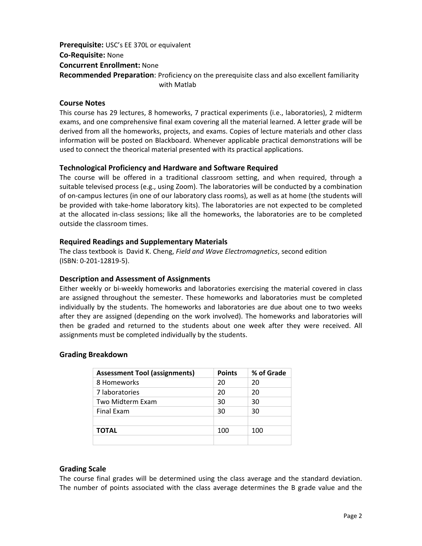# **Prerequisite:** USC's EE 370L or equivalent **Co‐Requisite:** None **Concurrent Enrollment:** None **Recommended Preparation**: Proficiency on the prerequisite class and also excellent familiarity with Matlab

### **Course Notes**

This course has 29 lectures, 8 homeworks, 7 practical experiments (i.e., laboratories), 2 midterm exams, and one comprehensive final exam covering all the material learned. A letter grade will be derived from all the homeworks, projects, and exams. Copies of lecture materials and other class information will be posted on Blackboard. Whenever applicable practical demonstrations will be used to connect the theorical material presented with its practical applications.

### **Technological Proficiency and Hardware and Software Required**

The course will be offered in a traditional classroom setting, and when required, through a suitable televised process (e.g., using Zoom). The laboratories will be conducted by a combination of on‐campus lectures (in one of our laboratory class rooms), as well as at home (the students will be provided with take‐home laboratory kits). The laboratories are not expected to be completed at the allocated in-class sessions; like all the homeworks, the laboratories are to be completed outside the classroom times.

### **Required Readings and Supplementary Materials**

The class textbook is David K. Cheng, *Field and Wave Electromagnetics*, second edition (ISBN: 0‐201‐12819‐5).

## **Description and Assessment of Assignments**

Either weekly or bi-weekly homeworks and laboratories exercising the material covered in class are assigned throughout the semester. These homeworks and laboratories must be completed individually by the students. The homeworks and laboratories are due about one to two weeks after they are assigned (depending on the work involved). The homeworks and laboratories will then be graded and returned to the students about one week after they were received. All assignments must be completed individually by the students.

### **Grading Breakdown**

| <b>Assessment Tool (assignments)</b> | <b>Points</b> | % of Grade |
|--------------------------------------|---------------|------------|
| 8 Homeworks                          | 20            | 20         |
| 7 laboratories                       | 20            | 20         |
| Two Midterm Exam                     | 30            | 30         |
| <b>Final Exam</b>                    | 30            | 30         |
|                                      |               |            |
| <b>TOTAL</b>                         | 100           | 100        |
|                                      |               |            |

### **Grading Scale**

The course final grades will be determined using the class average and the standard deviation. The number of points associated with the class average determines the B grade value and the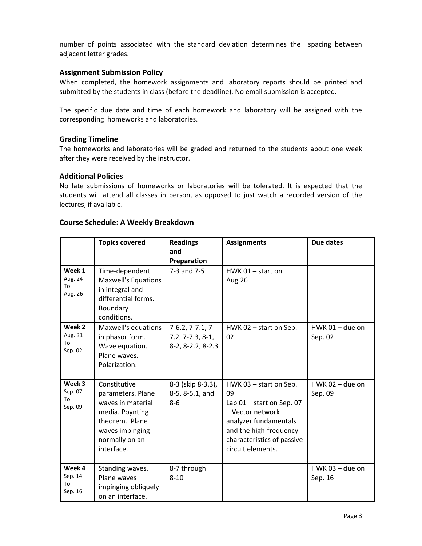number of points associated with the standard deviation determines the spacing between adjacent letter grades.

### **Assignment Submission Policy**

When completed, the homework assignments and laboratory reports should be printed and submitted by the students in class (before the deadline). No email submission is accepted.

The specific due date and time of each homework and laboratory will be assigned with the corresponding homeworks and laboratories.

### **Grading Timeline**

The homeworks and laboratories will be graded and returned to the students about one week after they were received by the instructor.

### **Additional Policies**

No late submissions of homeworks or laboratories will be tolerated. It is expected that the students will attend all classes in person, as opposed to just watch a recorded version of the lectures, if available.

### **Course Schedule: A Weekly Breakdown**

|                                    | <b>Topics covered</b>                                                                                                                          | <b>Readings</b><br>and<br>Preparation                         | <b>Assignments</b>                                                                                                                                                                    | <b>Due dates</b>             |
|------------------------------------|------------------------------------------------------------------------------------------------------------------------------------------------|---------------------------------------------------------------|---------------------------------------------------------------------------------------------------------------------------------------------------------------------------------------|------------------------------|
| Week 1<br>Aug. 24<br>To<br>Aug. 26 | Time-dependent<br><b>Maxwell's Equations</b><br>in integral and<br>differential forms.<br>Boundary<br>conditions.                              | 7-3 and 7-5                                                   | HWK $01 -$ start on<br>Aug.26                                                                                                                                                         |                              |
| Week 2<br>Aug. 31<br>To<br>Sep. 02 | Maxwell's equations<br>in phasor form.<br>Wave equation.<br>Plane waves.<br>Polarization.                                                      | $7-6.2, 7-7.1, 7-$<br>$7.2, 7-7.3, 8-1,$<br>8-2, 8-2.2, 8-2.3 | HWK 02 - start on Sep.<br>02                                                                                                                                                          | $HWK$ 01 – due on<br>Sep. 02 |
| Week 3<br>Sep. 07<br>To<br>Sep. 09 | Constitutive<br>parameters. Plane<br>waves in material<br>media. Poynting<br>theorem. Plane<br>waves impinging<br>normally on an<br>interface. | 8-3 (skip 8-3.3),<br>8-5, 8-5.1, and<br>$8-6$                 | HWK 03 - start on Sep.<br>09<br>Lab $01$ – start on Sep. 07<br>- Vector network<br>analyzer fundamentals<br>and the high-frequency<br>characteristics of passive<br>circuit elements. | HWK 02 - due on<br>Sep. 09   |
| Week 4<br>Sep. 14<br>To<br>Sep. 16 | Standing waves.<br>Plane waves<br>impinging obliquely<br>on an interface.                                                                      | 8-7 through<br>$8 - 10$                                       |                                                                                                                                                                                       | $HWK$ 03 - due on<br>Sep. 16 |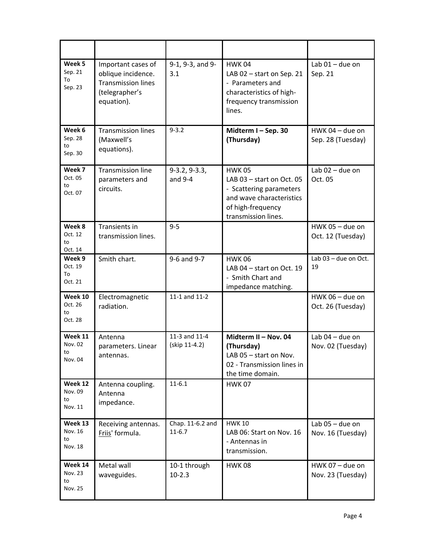| Week 5<br>Sep. 21<br>To<br>Sep. 23         | Important cases of<br>oblique incidence.<br><b>Transmission lines</b><br>(telegrapher's<br>equation). | 9-1, 9-3, and 9-<br>3.1        | <b>HWK04</b><br>LAB 02 - start on Sep. 21<br>- Parameters and<br>characteristics of high-<br>frequency transmission<br>lines.                 | Lab $01$ – due on<br>Sep. 21           |
|--------------------------------------------|-------------------------------------------------------------------------------------------------------|--------------------------------|-----------------------------------------------------------------------------------------------------------------------------------------------|----------------------------------------|
| Week 6<br>Sep. 28<br>to<br>Sep. 30         | <b>Transmission lines</b><br>(Maxwell's<br>equations).                                                | $9 - 3.2$                      | Midterm I-Sep. 30<br>(Thursday)                                                                                                               | HWK 04 - due on<br>Sep. 28 (Tuesday)   |
| Week 7<br>Oct. 05<br>to<br>Oct. 07         | <b>Transmission line</b><br>parameters and<br>circuits.                                               | $9-3.2, 9-3.3,$<br>and $9-4$   | <b>HWK 05</b><br>LAB 03 - start on Oct. 05<br>- Scattering parameters<br>and wave characteristics<br>of high-frequency<br>transmission lines. | Lab $02$ – due on<br>Oct. 05           |
| Week 8<br>Oct. 12<br>to<br>Oct. 14         | Transients in<br>transmission lines.                                                                  | $9 - 5$                        |                                                                                                                                               | HWK 05 - due on<br>Oct. 12 (Tuesday)   |
| Week 9<br>Oct. 19<br>To<br>Oct. 21         | Smith chart.                                                                                          | 9-6 and 9-7                    | <b>HWK06</b><br>LAB 04 - start on Oct. 19<br>- Smith Chart and<br>impedance matching.                                                         | Lab 03 - due on Oct.<br>19             |
| Week 10<br>Oct. 26<br>to<br>Oct. 28        | Electromagnetic<br>radiation.                                                                         | 11-1 and 11-2                  |                                                                                                                                               | HWK 06 - due on<br>Oct. 26 (Tuesday)   |
| Week 11<br>Nov. 02<br>to<br>Nov. 04        | Antenna<br>parameters. Linear<br>antennas.                                                            | 11-3 and 11-4<br>(skip 11-4.2) | Midterm II - Nov. 04<br>(Thursday)<br>LAB 05 - start on Nov.<br>02 - Transmission lines in<br>the time domain.                                | Lab $04$ – due on<br>Nov. 02 (Tuesday) |
| Week 12<br>Nov. 09<br>to<br>Nov. 11        | Antenna coupling.<br>Antenna<br>impedance.                                                            | $11-6.1$                       | <b>HWK 07</b>                                                                                                                                 |                                        |
| Week 13<br>Nov. 16<br>to<br><b>Nov. 18</b> | Receiving antennas.<br>Friis' formula.                                                                | Chap. 11-6.2 and<br>$11-6.7$   | <b>HWK 10</b><br>LAB 06: Start on Nov. 16<br>- Antennas in<br>transmission.                                                                   | Lab 05 - due on<br>Nov. 16 (Tuesday)   |
| Week 14<br>Nov. 23<br>to<br>Nov. 25        | Metal wall<br>waveguides.                                                                             | 10-1 through<br>$10-2.3$       | <b>HWK08</b>                                                                                                                                  | HWK 07 - due on<br>Nov. 23 (Tuesday)   |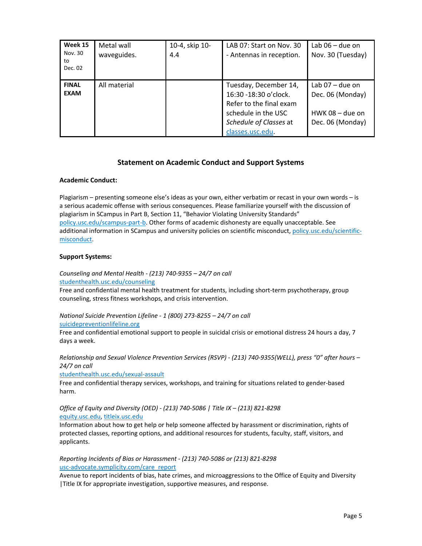| Week 15<br>Nov. 30<br>to<br>Dec. 02 | Metal wall<br>waveguides. | 10-4, skip 10-<br>4.4 | LAB 07: Start on Nov. 30<br>- Antennas in reception.                                                                                            | Lab $06 -$ due on<br>Nov. 30 (Tuesday)                                         |
|-------------------------------------|---------------------------|-----------------------|-------------------------------------------------------------------------------------------------------------------------------------------------|--------------------------------------------------------------------------------|
| <b>FINAL</b><br><b>EXAM</b>         | All material              |                       | Tuesday, December 14,<br>16:30 - 18:30 o'clock.<br>Refer to the final exam<br>schedule in the USC<br>Schedule of Classes at<br>classes.usc.edu. | Lab $07 -$ due on<br>Dec. 06 (Monday)<br>$HWK$ 08 – due on<br>Dec. 06 (Monday) |

### **Statement on Academic Conduct and Support Systems**

#### **Academic Conduct:**

Plagiarism – presenting someone else's ideas as your own, either verbatim or recast in your own words – is a serious academic offense with serious consequences. Please familiarize yourself with the discussion of plagiarism in SCampus in Part B, Section 11, "Behavior Violating University Standards" policy.usc.edu/scampus‐part‐b. Other forms of academic dishonesty are equally unacceptable. See additional information in SCampus and university policies on scientific misconduct, policy.usc.edu/scientificmisconduct.

#### **Support Systems:**

*Counseling and Mental Health ‐ (213) 740‐9355 – 24/7 on call* 

studenthealth.usc.edu/counseling

Free and confidential mental health treatment for students, including short-term psychotherapy, group counseling, stress fitness workshops, and crisis intervention.

*National Suicide Prevention Lifeline ‐ 1 (800) 273‐8255 – 24/7 on call* 

suicidepreventionlifeline.org

Free and confidential emotional support to people in suicidal crisis or emotional distress 24 hours a day, 7 days a week.

*Relationship and Sexual Violence Prevention Services (RSVP) ‐ (213) 740‐9355(WELL), press "0" after hours – 24/7 on call* 

studenthealth.usc.edu/sexual‐assault

Free and confidential therapy services, workshops, and training for situations related to gender‐based harm.

#### *Office of Equity and Diversity (OED) ‐ (213) 740‐5086 | Title IX – (213) 821‐8298*  equity.usc.edu, titleix.usc.edu

Information about how to get help or help someone affected by harassment or discrimination, rights of protected classes, reporting options, and additional resources for students, faculty, staff, visitors, and applicants.

*Reporting Incidents of Bias or Harassment ‐ (213) 740‐5086 or (213) 821‐8298*  usc-advocate.symplicity.com/care\_report

Avenue to report incidents of bias, hate crimes, and microaggressions to the Office of Equity and Diversity |Title IX for appropriate investigation, supportive measures, and response.